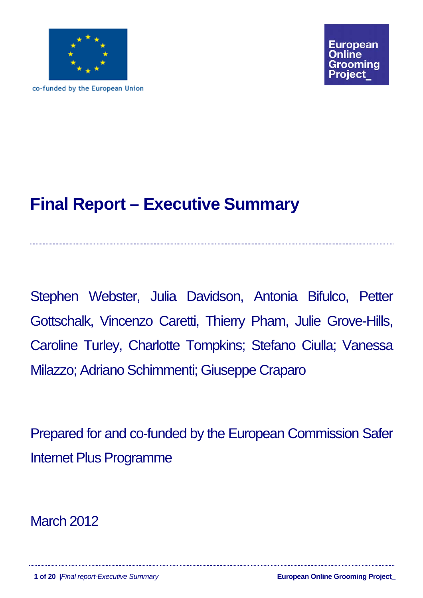

co-funded by the European Union

# **Final Report – Executive Summary**

Stephen Webster, Julia Davidson, Antonia Bifulco, Petter Gottschalk, Vincenzo Caretti, Thierry Pham, Julie Grove-Hills, Caroline Turley, Charlotte Tompkins; Stefano Ciulla; Vanessa Milazzo; Adriano Schimmenti; Giuseppe Craparo

Prepared for and co-funded by the European Commission Safer Internet Plus Programme

March 2012

**1 of 20 |***Final report-Executive Summary* **European Online Grooming Project\_**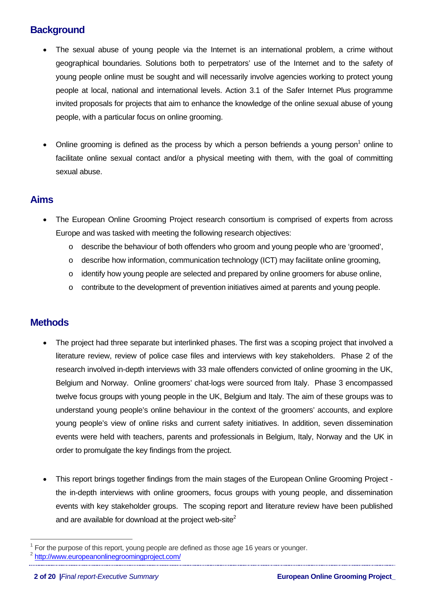# **Background**

- The sexual abuse of young people via the Internet is an international problem, a crime without geographical boundaries. Solutions both to perpetrators' use of the Internet and to the safety of young people online must be sought and will necessarily involve agencies working to protect young people at local, national and international levels. Action 3.1 of the Safer Internet Plus programme invited proposals for projects that aim to enhance the knowledge of the online sexual abuse of young people, with a particular focus on online grooming.
- Online grooming is defined as the process by which a person befriends a young person<sup>[1](#page-1-0)</sup> online to facilitate online sexual contact and/or a physical meeting with them, with the goal of committing sexual abuse.

# **Aims**

- The European Online Grooming Project research consortium is comprised of experts from across Europe and was tasked with meeting the following research objectives:
	- o describe the behaviour of both offenders who groom and young people who are 'groomed',
	- o describe how information, communication technology (ICT) may facilitate online grooming,
	- o identify how young people are selected and prepared by online groomers for abuse online,
	- o contribute to the development of prevention initiatives aimed at parents and young people.

# **Methods**

 $\overline{a}$ 

- The project had three separate but interlinked phases. The first was a scoping project that involved a literature review, review of police case files and interviews with key stakeholders. Phase 2 of the research involved in-depth interviews with 33 male offenders convicted of online grooming in the UK, Belgium and Norway. Online groomers' chat-logs were sourced from Italy. Phase 3 encompassed twelve focus groups with young people in the UK, Belgium and Italy. The aim of these groups was to understand young people's online behaviour in the context of the groomers' accounts, and explore young people's view of online risks and current safety initiatives. In addition, seven dissemination events were held with teachers, parents and professionals in Belgium, Italy, Norway and the UK in order to promulgate the key findings from the project.
- This report brings together findings from the main stages of the European Online Grooming Project the in-depth interviews with online groomers, focus groups with young people, and dissemination events with key stakeholder groups. The scoping report and literature review have been published and are available for download at the project web-site<sup>[2](#page-1-1)</sup>

<span id="page-1-0"></span><sup>1</sup> For the purpose of this report, young people are defined as those age 16 years or younger.

<span id="page-1-1"></span><sup>2</sup> <http://www.europeanonlinegroomingproject.com/>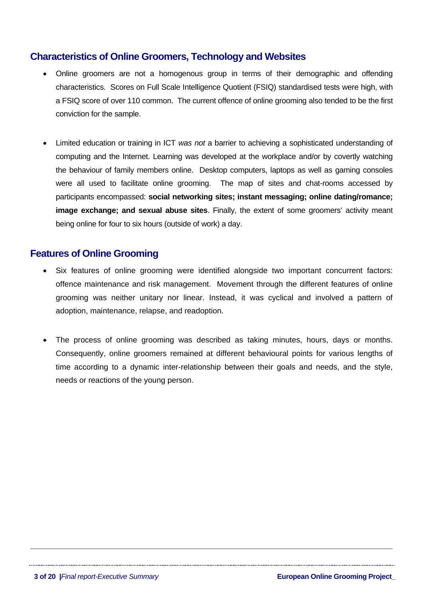# **Characteristics of Online Groomers, Technology and Websites**

- Online groomers are not a homogenous group in terms of their demographic and offending characteristics. Scores on Full Scale Intelligence Quotient (FSIQ) standardised tests were high, with a FSIQ score of over 110 common. The current offence of online grooming also tended to be the first conviction for the sample.
- Limited education or training in ICT *was not* a barrier to achieving a sophisticated understanding of computing and the Internet. Learning was developed at the workplace and/or by covertly watching the behaviour of family members online. Desktop computers, laptops as well as gaming consoles were all used to facilitate online grooming. The map of sites and chat-rooms accessed by participants encompassed: **social networking sites; instant messaging; online dating/romance; image exchange; and sexual abuse sites**. Finally, the extent of some groomers' activity meant being online for four to six hours (outside of work) a day.

# **Features of Online Grooming**

- Six features of online grooming were identified alongside two important concurrent factors: offence maintenance and risk management. Movement through the different features of online grooming was neither unitary nor linear. Instead, it was cyclical and involved a pattern of adoption, maintenance, relapse, and readoption.
- The process of online grooming was described as taking minutes, hours, days or months. Consequently, online groomers remained at different behavioural points for various lengths of time according to a dynamic inter-relationship between their goals and needs, and the style, needs or reactions of the young person.

 $\overline{a}$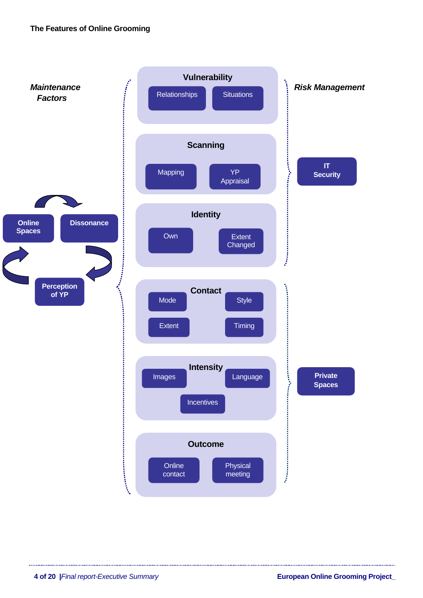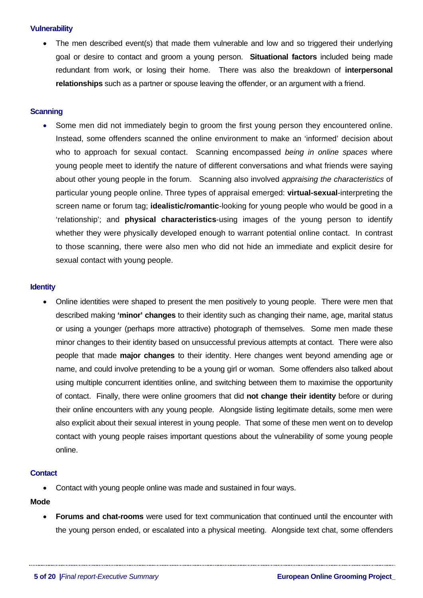# **Vulnerability**

The men described event(s) that made them vulnerable and low and so triggered their underlying goal or desire to contact and groom a young person. **Situational factors** included being made redundant from work, or losing their home. There was also the breakdown of **interpersonal relationships** such as a partner or spouse leaving the offender, or an argument with a friend.

# **Scanning**

• Some men did not immediately begin to groom the first young person they encountered online. Instead, some offenders scanned the online environment to make an 'informed' decision about who to approach for sexual contact. Scanning encompassed *being in online spaces* where young people meet to identify the nature of different conversations and what friends were saying about other young people in the forum. Scanning also involved *appraising the characteristics* of particular young people online. Three types of appraisal emerged: **virtual-sexual**-interpreting the screen name or forum tag; **idealistic/romantic**-looking for young people who would be good in a 'relationship'; and **physical characteristics**-using images of the young person to identify whether they were physically developed enough to warrant potential online contact. In contrast to those scanning, there were also men who did not hide an immediate and explicit desire for sexual contact with young people.

## **Identity**

• Online identities were shaped to present the men positively to young people. There were men that described making **'minor' changes** to their identity such as changing their name, age, marital status or using a younger (perhaps more attractive) photograph of themselves. Some men made these minor changes to their identity based on unsuccessful previous attempts at contact. There were also people that made **major changes** to their identity. Here changes went beyond amending age or name, and could involve pretending to be a young girl or woman. Some offenders also talked about using multiple concurrent identities online, and switching between them to maximise the opportunity of contact. Finally, there were online groomers that did **not change their identity** before or during their online encounters with any young people. Alongside listing legitimate details, some men were also explicit about their sexual interest in young people. That some of these men went on to develop contact with young people raises important questions about the vulnerability of some young people online.

## **Contact**

• Contact with young people online was made and sustained in four ways.

# **Mode**

• **Forums and chat-rooms** were used for text communication that continued until the encounter with the young person ended, or escalated into a physical meeting. Alongside text chat, some offenders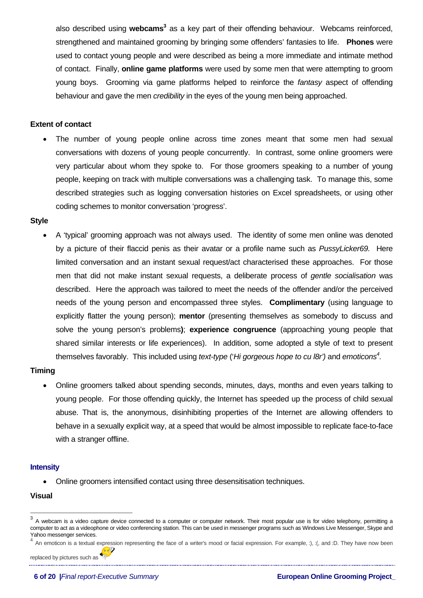also described using **webcams**<sup>3</sup> as a key part of their offending behaviour. Webcams reinforced, strengthened and maintained grooming by bringing some offenders' fantasies to life. **Phones** were used to contact young people and were described as being a more immediate and intimate method of contact. Finally, **online game platforms** were used by some men that were attempting to groom young boys. Grooming via game platforms helped to reinforce the *fantasy* aspect of offending behaviour and gave the men *credibility* in the eyes of the young men being approached.

# **Extent of contact**

The number of young people online across time zones meant that some men had sexual conversations with dozens of young people concurrently. In contrast, some online groomers were very particular about whom they spoke to. For those groomers speaking to a number of young people, keeping on track with multiple conversations was a challenging task. To manage this, some described strategies such as logging conversation histories on Excel spreadsheets, or using other coding schemes to monitor conversation 'progress'.

# **Style**

• A 'typical' grooming approach was not always used. The identity of some men online was denoted by a picture of their flaccid penis as their avatar or a profile name such as *PussyLicker69.* Here limited conversation and an instant sexual request/act characterised these approaches. For those men that did not make instant sexual requests, a deliberate process of *gentle socialisation* was described. Here the approach was tailored to meet the needs of the offender and/or the perceived needs of the young person and encompassed three styles. **Complimentary** (using language to explicitly flatter the young person); **mentor** (presenting themselves as somebody to discuss and solve the young person's problems**)**; **experience congruence** (approaching young people that shared similar interests or life experiences). In addition, some adopted a style of text to present themselves favorably. This included using *text-type* ('*Hi gorgeous hope to cu l8r')* and *emoticon[s4](#page-5-1) .*

# **Timing**

• Online groomers talked about spending seconds, minutes, days, months and even years talking to young people. For those offending quickly, the Internet has speeded up the process of child sexual abuse. That is, the anonymous, disinhibiting properties of the Internet are allowing offenders to behave in a sexually explicit way, at a speed that would be almost impossible to replicate face-to-face with a stranger offline.

## **Intensity**

• Online groomers intensified contact using three desensitisation techniques.

## **Visual**

<span id="page-5-0"></span> $3$  A webcam is a video capture device connected to a computer or computer network. Their most popular use is for video telephony, permitting a computer to act as a videophone or video conferencing station. This can be used in messenger programs such as Windows Live Messenger, Skype and Yahoo messenger services.

<span id="page-5-1"></span>An emoticon is a textual expression representing the face of a writer's mood or facial expression. For example, :), :(, and :D. They have now been

replaced by pictures such as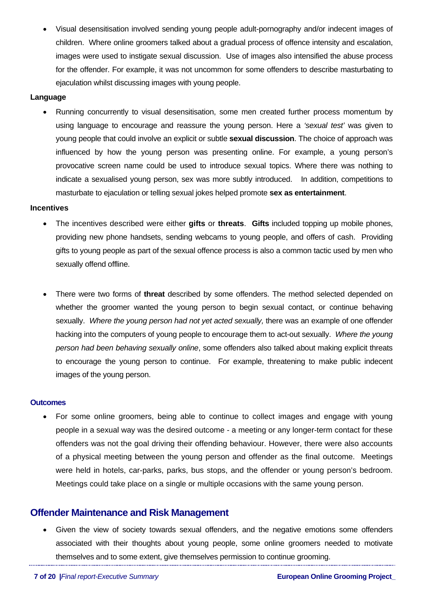• Visual desensitisation involved sending young people adult-pornography and/or indecent images of children. Where online groomers talked about a gradual process of offence intensity and escalation, images were used to instigate sexual discussion. Use of images also intensified the abuse process for the offender. For example, it was not uncommon for some offenders to describe masturbating to ejaculation whilst discussing images with young people.

# **Language**

• Running concurrently to visual desensitisation, some men created further process momentum by using language to encourage and reassure the young person. Here a *'sexual test'* was given to young people that could involve an explicit or subtle **sexual discussion**. The choice of approach was influenced by how the young person was presenting online. For example, a young person's provocative screen name could be used to introduce sexual topics. Where there was nothing to indicate a sexualised young person, sex was more subtly introduced. In addition, competitions to masturbate to ejaculation or telling sexual jokes helped promote **sex as entertainment**.

## **Incentives**

- The incentives described were either **gifts** or **threats**. **Gifts** included topping up mobile phones, providing new phone handsets, sending webcams to young people, and offers of cash. Providing gifts to young people as part of the sexual offence process is also a common tactic used by men who sexually offend offline.
- There were two forms of **threat** described by some offenders. The method selected depended on whether the groomer wanted the young person to begin sexual contact, or continue behaving sexually. *Where the young person had not yet acted sexually,* there was an example of one offender hacking into the computers of young people to encourage them to act-out sexually. *Where the young person had been behaving sexually online*, some offenders also talked about making explicit threats to encourage the young person to continue. For example, threatening to make public indecent images of the young person.

#### **Outcomes**

• For some online groomers, being able to continue to collect images and engage with young people in a sexual way was the desired outcome - a meeting or any longer-term contact for these offenders was not the goal driving their offending behaviour. However, there were also accounts of a physical meeting between the young person and offender as the final outcome. Meetings were held in hotels, car-parks, parks, bus stops, and the offender or young person's bedroom. Meetings could take place on a single or multiple occasions with the same young person.

# **Offender Maintenance and Risk Management**

• Given the view of society towards sexual offenders, and the negative emotions some offenders associated with their thoughts about young people, some online groomers needed to motivate themselves and to some extent, give themselves permission to continue grooming.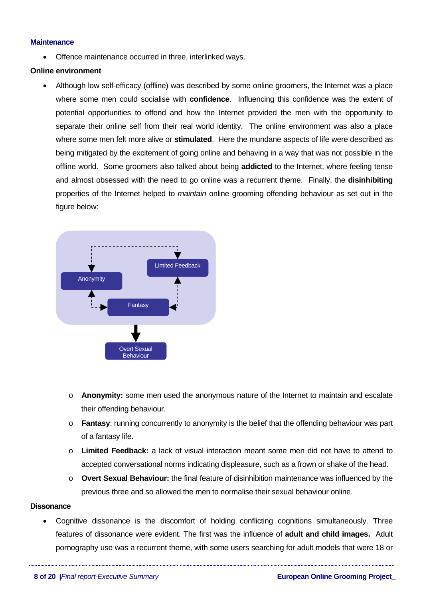## **Maintenance**

• Offence maintenance occurred in three, interlinked ways.

# **Online environment**

• Although low self-efficacy (offline) was described by some online groomers, the Internet was a place where some men could socialise with **confidence**. Influencing this confidence was the extent of potential opportunities to offend and how the Internet provided the men with the opportunity to separate their online self from their real world identity. The online environment was also a place where some men felt more alive or **stimulated**. Here the mundane aspects of life were described as being mitigated by the excitement of going online and behaving in a way that was not possible in the offline world. Some groomers also talked about being **addicted** to the Internet, where feeling tense and almost obsessed with the need to go online was a recurrent theme.Finally, the **disinhibiting** properties of the Internet helped to *maintain* online grooming offending behaviour as set out in the figure below:



- o **Anonymity:** some men used the anonymous nature of the Internet to maintain and escalate their offending behaviour.
- o **Fantasy**: running concurrently to anonymity is the belief that the offending behaviour was part of a fantasy life.
- o **Limited Feedback:** a lack of visual interaction meant some men did not have to attend to accepted conversational norms indicating displeasure, such as a frown or shake of the head.
- o **Overt Sexual Behaviour:** the final feature of disinhibition maintenance was influenced by the previous three and so allowed the men to normalise their sexual behaviour online.

## **Dissonance**

• Cognitive dissonance is the discomfort of holding conflicting cognitions simultaneously. Three features of dissonance were evident. The first was the influence of **adult and child images.** Adult pornography use was a recurrent theme, with some users searching for adult models that were 18 or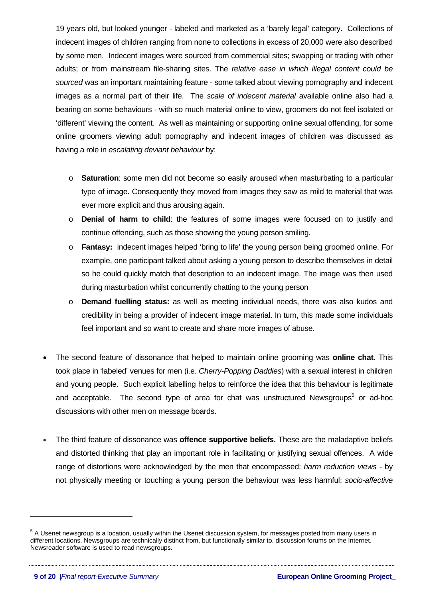19 years old, but looked younger - labeled and marketed as a 'barely legal' category. Collections of indecent images of children ranging from none to collections in excess of 20,000 were also described by some men. Indecent images were sourced from commercial sites; swapping or trading with other adults; or from mainstream file-sharing sites. The *relative ease in which illegal content could be sourced* was an important maintaining feature - some talked about viewing pornography and indecent images as a normal part of their life. The *scale of indecent material* available online also had a bearing on some behaviours - with so much material online to view, groomers do not feel isolated or 'different' viewing the content. As well as maintaining or supporting online sexual offending, for some online groomers viewing adult pornography and indecent images of children was discussed as having a role in *escalating deviant behaviour* by:

- o **Saturation**: some men did not become so easily aroused when masturbating to a particular type of image. Consequently they moved from images they saw as mild to material that was ever more explicit and thus arousing again.
- o **Denial of harm to child**: the features of some images were focused on to justify and continue offending, such as those showing the young person smiling.
- o **Fantasy:** indecent images helped 'bring to life' the young person being groomed online. For example, one participant talked about asking a young person to describe themselves in detail so he could quickly match that description to an indecent image. The image was then used during masturbation whilst concurrently chatting to the young person
- o **Demand fuelling status:** as well as meeting individual needs, there was also kudos and credibility in being a provider of indecent image material. In turn, this made some individuals feel important and so want to create and share more images of abuse.
- The second feature of dissonance that helped to maintain online grooming was **online chat.** This took place in 'labeled' venues for men (i.e. *Cherry-Popping Daddies*) with a sexual interest in children and young people. Such explicit labelling helps to reinforce the idea that this behaviour is legitimate and acceptable. The second type of area for chat was unstructured Newsgroups<sup>[5](#page-8-0)</sup> or ad-hoc discussions with other men on message boards.
- The third feature of dissonance was **offence supportive beliefs.** These are the maladaptive beliefs and distorted thinking that play an important role in facilitating or justifying sexual offences. A wide range of distortions were acknowledged by the men that encompassed: *harm reduction views* - by not physically meeting or touching a young person the behaviour was less harmful; *socio-affective*

 $\overline{a}$ 

<span id="page-8-0"></span><sup>&</sup>lt;sup>5</sup> A Usenet newsgroup is a location, usually within the Usenet discussion system, for messages posted from many users in different locations. Newsgroups are technically distinct from, but functionally similar to, discussion forums on the Internet. Newsreader software is used to read newsgroups.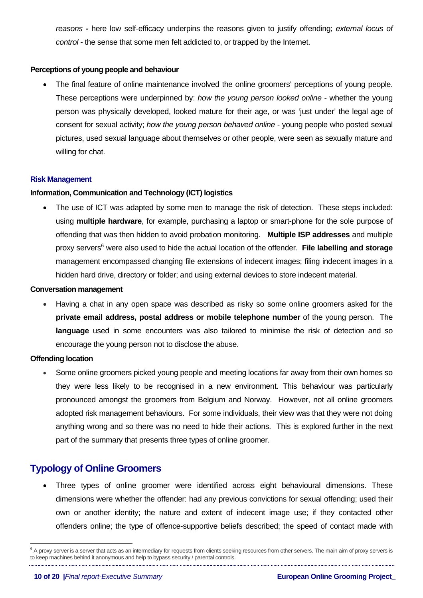*reasons* **-** here low self-efficacy underpins the reasons given to justify offending; *external locus of control* - the sense that some men felt addicted to, or trapped by the Internet.

# **Perceptions of young people and behaviour**

• The final feature of online maintenance involved the online groomers' perceptions of young people. These perceptions were underpinned by: *how the young person looked online* - whether the young person was physically developed, looked mature for their age, or was 'just under' the legal age of consent for sexual activity; *how the young person behaved online* - young people who posted sexual pictures, used sexual language about themselves or other people, were seen as sexually mature and willing for chat.

## **Risk Management**

# **Information, Communication and Technology (ICT) logistics**

• The use of ICT was adapted by some men to manage the risk of detection. These steps included: using **multiple hardware**, for example, purchasing a laptop or smart-phone for the sole purpose of offending that was then hidden to avoid probation monitoring. **Multiple ISP addresses** and multiple proxy servers<sup>[6](#page-9-0)</sup> were also used to hide the actual location of the offender. File labelling and storage management encompassed changing file extensions of indecent images; filing indecent images in a hidden hard drive, directory or folder; and using external devices to store indecent material.

## **Conversation management**

• Having a chat in any open space was described as risky so some online groomers asked for the **private email address, postal address or mobile telephone number** of the young person. The **language** used in some encounters was also tailored to minimise the risk of detection and so encourage the young person not to disclose the abuse.

## **Offending location**

 $\overline{a}$ 

• Some online groomers picked young people and meeting locations far away from their own homes so they were less likely to be recognised in a new environment. This behaviour was particularly pronounced amongst the groomers from Belgium and Norway. However, not all online groomers adopted risk management behaviours. For some individuals, their view was that they were not doing anything wrong and so there was no need to hide their actions. This is explored further in the next part of the summary that presents three types of online groomer.

# **Typology of Online Groomers**

• Three types of online groomer were identified across eight behavioural dimensions. These dimensions were whether the offender: had any previous convictions for sexual offending; used their own or another identity; the nature and extent of indecent image use; if they contacted other offenders online; the type of offence-supportive beliefs described; the speed of contact made with

<span id="page-9-0"></span> $6$  A proxy server is a server that acts as an intermediary for requests from clients seeking resources from other servers. The main aim of proxy servers is to keep machines behind it anonymous and help to bypass security / parental controls.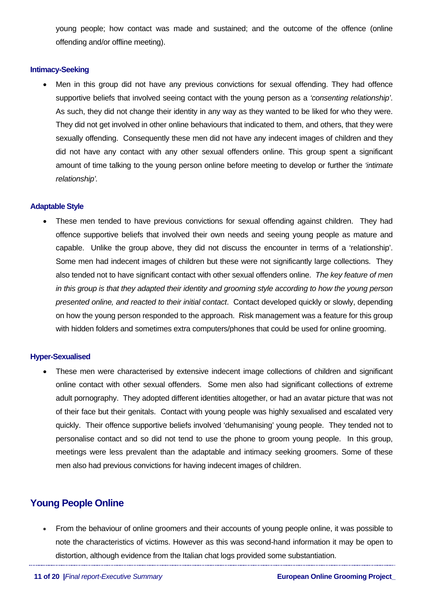young people; how contact was made and sustained; and the outcome of the offence (online offending and/or offline meeting).

# **Intimacy-Seeking**

• Men in this group did not have any previous convictions for sexual offending. They had offence supportive beliefs that involved seeing contact with the young person as a *'consenting relationship'*. As such, they did not change their identity in any way as they wanted to be liked for who they were. They did not get involved in other online behaviours that indicated to them, and others, that they were sexually offending. Consequently these men did not have any indecent images of children and they did not have any contact with any other sexual offenders online. This group spent a significant amount of time talking to the young person online before meeting to develop or further the *'intimate relationship'.* 

# **Adaptable Style**

These men tended to have previous convictions for sexual offending against children. They had offence supportive beliefs that involved their own needs and seeing young people as mature and capable. Unlike the group above, they did not discuss the encounter in terms of a 'relationship'. Some men had indecent images of children but these were not significantly large collections. They also tended not to have significant contact with other sexual offenders online. *The key feature of men in this group is that they adapted their identity and grooming style according to how the young person presented online, and reacted to their initial contact*. Contact developed quickly or slowly, depending on how the young person responded to the approach. Risk management was a feature for this group with hidden folders and sometimes extra computers/phones that could be used for online grooming.

# **Hyper-Sexualised**

These men were characterised by extensive indecent image collections of children and significant online contact with other sexual offenders. Some men also had significant collections of extreme adult pornography. They adopted different identities altogether, or had an avatar picture that was not of their face but their genitals. Contact with young people was highly sexualised and escalated very quickly. Their offence supportive beliefs involved 'dehumanising' young people. They tended not to personalise contact and so did not tend to use the phone to groom young people. In this group, meetings were less prevalent than the adaptable and intimacy seeking groomers. Some of these men also had previous convictions for having indecent images of children.

# **Young People Online**

• From the behaviour of online groomers and their accounts of young people online, it was possible to note the characteristics of victims. However as this was second-hand information it may be open to distortion, although evidence from the Italian chat logs provided some substantiation.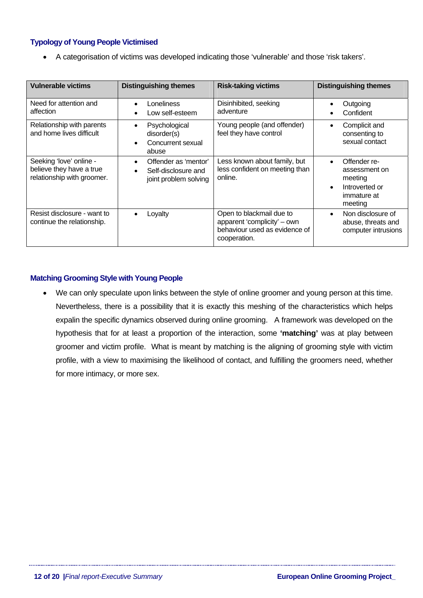# **Typology of Young People Victimised**

• A categorisation of victims was developed indicating those 'vulnerable' and those 'risk takers'.

| <b>Vulnerable victims</b>                                                         | <b>Distinguishing themes</b>                                                                   | <b>Risk-taking victims</b>                                                                               | <b>Distinguishing themes</b>                                                                      |
|-----------------------------------------------------------------------------------|------------------------------------------------------------------------------------------------|----------------------------------------------------------------------------------------------------------|---------------------------------------------------------------------------------------------------|
| Need for attention and<br>affection                                               | Loneliness<br>$\bullet$<br>Low self-esteem<br>$\bullet$                                        | Disinhibited, seeking<br>adventure                                                                       | Outgoing<br>Confident                                                                             |
| Relationship with parents<br>and home lives difficult                             | Psychological<br>$\bullet$<br>disorder(s)<br>Concurrent sexual<br>$\bullet$<br>abuse           | Young people (and offender)<br>feel they have control                                                    | Complicit and<br>consenting to<br>sexual contact                                                  |
| Seeking 'love' online -<br>believe they have a true<br>relationship with groomer. | Offender as 'mentor'<br>$\bullet$<br>Self-disclosure and<br>$\bullet$<br>joint problem solving | Less known about family, but<br>less confident on meeting than<br>online.                                | Offender re-<br>assessment on<br>meeting<br>Introverted or<br>$\bullet$<br>immature at<br>meeting |
| Resist disclosure - want to<br>continue the relationship.                         | Loyalty<br>$\bullet$                                                                           | Open to blackmail due to<br>apparent 'complicity' – own<br>behaviour used as evidence of<br>cooperation. | Non disclosure of<br>$\bullet$<br>abuse, threats and<br>computer intrusions                       |

# **Matching Grooming Style with Young People**

We can only speculate upon links between the style of online groomer and young person at this time. Nevertheless, there is a possibility that it is exactly this meshing of the characteristics which helps expalin the specific dynamics observed during online grooming. A framework was developed on the hypothesis that for at least a proportion of the interaction, some **'matching'** was at play between groomer and victim profile. What is meant by matching is the aligning of grooming style with victim profile, with a view to maximising the likelihood of contact, and fulfilling the groomers need, whether for more intimacy, or more sex.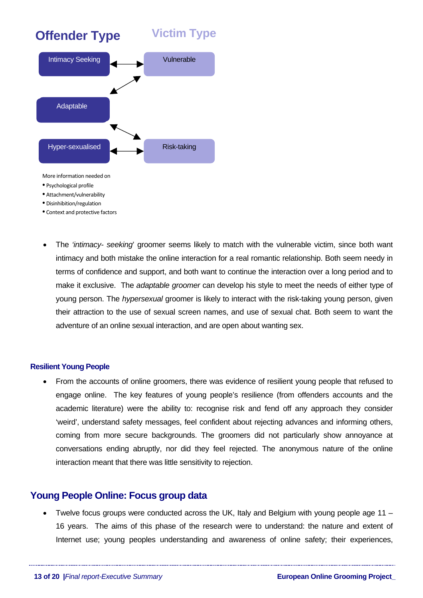

- Disinhibition/regulation
- Context and protective factors
- The *'intimacy- seeking*' groomer seems likely to match with the vulnerable victim, since both want intimacy and both mistake the online interaction for a real romantic relationship. Both seem needy in terms of confidence and support, and both want to continue the interaction over a long period and to make it exclusive. The *adaptable groomer* can develop his style to meet the needs of either type of young person. The *hypersexual* groomer is likely to interact with the risk-taking young person, given their attraction to the use of sexual screen names, and use of sexual chat. Both seem to want the adventure of an online sexual interaction, and are open about wanting sex.

## **Resilient Young People**

• From the accounts of online groomers, there was evidence of resilient young people that refused to engage online. The key features of young people's resilience (from offenders accounts and the academic literature) were the ability to: recognise risk and fend off any approach they consider 'weird', understand safety messages, feel confident about rejecting advances and informing others, coming from more secure backgrounds. The groomers did not particularly show annoyance at conversations ending abruptly, nor did they feel rejected. The anonymous nature of the online interaction meant that there was little sensitivity to rejection.

# **Young People Online: Focus group data**

• Twelve focus groups were conducted across the UK, Italy and Belgium with young people age 11 – 16 years. The aims of this phase of the research were to understand: the nature and extent of Internet use; young peoples understanding and awareness of online safety; their experiences,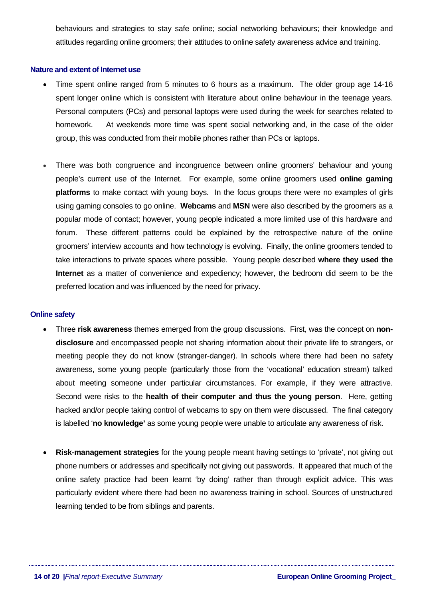behaviours and strategies to stay safe online; social networking behaviours; their knowledge and attitudes regarding online groomers; their attitudes to online safety awareness advice and training.

#### **Nature and extent of Internet use**

- Time spent online ranged from 5 minutes to 6 hours as a maximum. The older group age 14-16 spent longer online which is consistent with literature about online behaviour in the teenage years. Personal computers (PCs) and personal laptops were used during the week for searches related to homework. At weekends more time was spent social networking and, in the case of the older group, this was conducted from their mobile phones rather than PCs or laptops.
- There was both congruence and incongruence between online groomers' behaviour and young people's current use of the Internet. For example, some online groomers used **online gaming platforms** to make contact with young boys. In the focus groups there were no examples of girls using gaming consoles to go online. **Webcams** and **MSN** were also described by the groomers as a popular mode of contact; however, young people indicated a more limited use of this hardware and forum. These different patterns could be explained by the retrospective nature of the online groomers' interview accounts and how technology is evolving. Finally, the online groomers tended to take interactions to private spaces where possible. Young people described **where they used the Internet** as a matter of convenience and expediency; however, the bedroom did seem to be the preferred location and was influenced by the need for privacy.

#### **Online safety**

- Three **risk awareness** themes emerged from the group discussions. First, was the concept on **nondisclosure** and encompassed people not sharing information about their private life to strangers, or meeting people they do not know (stranger-danger). In schools where there had been no safety awareness, some young people (particularly those from the 'vocational' education stream) talked about meeting someone under particular circumstances. For example, if they were attractive. Second were risks to the **health of their computer and thus the young person**. Here, getting hacked and/or people taking control of webcams to spy on them were discussed. The final category is labelled '**no knowledge'** as some young people were unable to articulate any awareness of risk.
- **Risk-management strategies** for the young people meant having settings to 'private', not giving out phone numbers or addresses and specifically not giving out passwords. It appeared that much of the online safety practice had been learnt 'by doing' rather than through explicit advice. This was particularly evident where there had been no awareness training in school. Sources of unstructured learning tended to be from siblings and parents.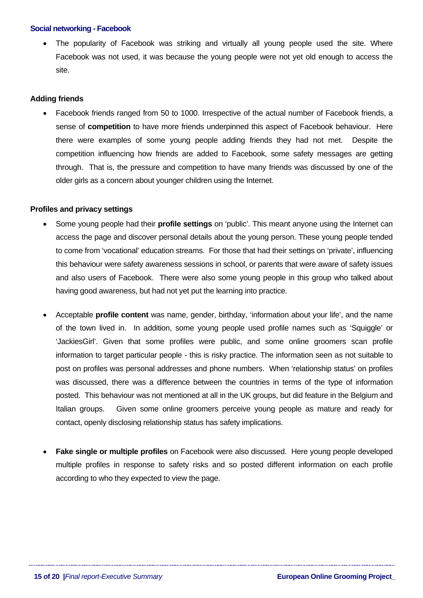## **Social networking - Facebook**

The popularity of Facebook was striking and virtually all young people used the site. Where Facebook was not used, it was because the young people were not yet old enough to access the site.

# **Adding friends**

• Facebook friends ranged from 50 to 1000. Irrespective of the actual number of Facebook friends, a sense of **competition** to have more friends underpinned this aspect of Facebook behaviour. Here there were examples of some young people adding friends they had not met. Despite the competition influencing how friends are added to Facebook, some safety messages are getting through. That is, the pressure and competition to have many friends was discussed by one of the older girls as a concern about younger children using the Internet.

# **Profiles and privacy settings**

- Some young people had their **profile settings** on 'public'. This meant anyone using the Internet can access the page and discover personal details about the young person. These young people tended to come from 'vocational' education streams. For those that had their settings on 'private', influencing this behaviour were safety awareness sessions in school, or parents that were aware of safety issues and also users of Facebook. There were also some young people in this group who talked about having good awareness, but had not yet put the learning into practice.
- Acceptable **profile content** was name, gender, birthday, 'information about your life', and the name of the town lived in. In addition, some young people used profile names such as 'Squiggle' or 'JackiesGirl'. Given that some profiles were public, and some online groomers scan profile information to target particular people - this is risky practice. The information seen as not suitable to post on profiles was personal addresses and phone numbers. When 'relationship status' on profiles was discussed, there was a difference between the countries in terms of the type of information posted. This behaviour was not mentioned at all in the UK groups, but did feature in the Belgium and Italian groups. Given some online groomers perceive young people as mature and ready for contact, openly disclosing relationship status has safety implications.
- **Fake single or multiple profiles** on Facebook were also discussed. Here young people developed multiple profiles in response to safety risks and so posted different information on each profile according to who they expected to view the page.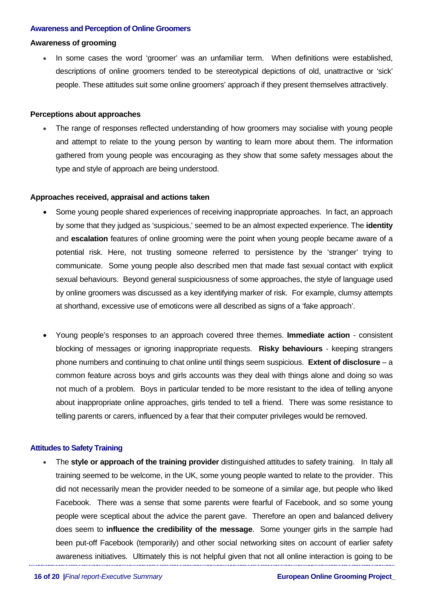#### **Awareness and Perception of Online Groomers**

# **Awareness of grooming**

In some cases the word 'groomer' was an unfamiliar term. When definitions were established, descriptions of online groomers tended to be stereotypical depictions of old, unattractive or 'sick' people. These attitudes suit some online groomers' approach if they present themselves attractively.

## **Perceptions about approaches**

• The range of responses reflected understanding of how groomers may socialise with young people and attempt to relate to the young person by wanting to learn more about them. The information gathered from young people was encouraging as they show that some safety messages about the type and style of approach are being understood.

#### **Approaches received, appraisal and actions taken**

- Some young people shared experiences of receiving inappropriate approaches. In fact, an approach by some that they judged as 'suspicious,' seemed to be an almost expected experience. The **identity** and **escalation** features of online grooming were the point when young people became aware of a potential risk. Here, not trusting someone referred to persistence by the 'stranger' trying to communicate. Some young people also described men that made fast sexual contact with explicit sexual behaviours. Beyond general suspiciousness of some approaches, the style of language used by online groomers was discussed as a key identifying marker of risk. For example, clumsy attempts at shorthand, excessive use of emoticons were all described as signs of a 'fake approach'.
- Young people's responses to an approach covered three themes. **Immediate action** consistent blocking of messages or ignoring inappropriate requests. **Risky behaviours** - keeping strangers phone numbers and continuing to chat online until things seem suspicious. **Extent of disclosure** – a common feature across boys and girls accounts was they deal with things alone and doing so was not much of a problem. Boys in particular tended to be more resistant to the idea of telling anyone about inappropriate online approaches, girls tended to tell a friend. There was some resistance to telling parents or carers, influenced by a fear that their computer privileges would be removed.

# **Attitudes to Safety Training**

• The **style or approach of the training provider** distinguished attitudes to safety training. In Italy all training seemed to be welcome, in the UK, some young people wanted to relate to the provider. This did not necessarily mean the provider needed to be someone of a similar age, but people who liked Facebook. There was a sense that some parents were fearful of Facebook, and so some young people were sceptical about the advice the parent gave. Therefore an open and balanced delivery does seem to **influence the credibility of the message**. Some younger girls in the sample had been put-off Facebook (temporarily) and other social networking sites on account of earlier safety awareness initiatives. Ultimately this is not helpful given that not all online interaction is going to be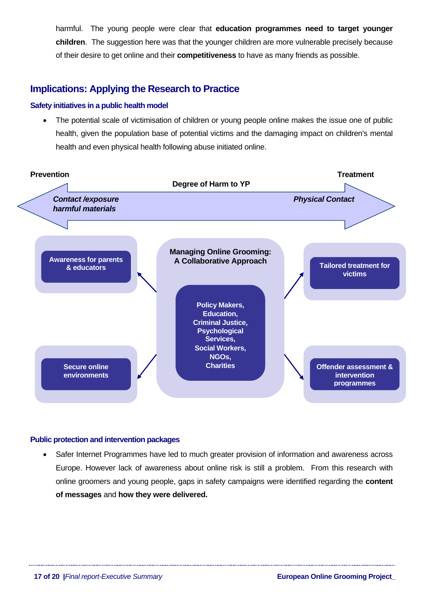harmful. The young people were clear that **education programmes need to target younger children**. The suggestion here was that the younger children are more vulnerable precisely because of their desire to get online and their **competitiveness** to have as many friends as possible.

# **Implications: Applying the Research to Practice**

# **Safety initiatives in a public health model**

The potential scale of victimisation of children or young people online makes the issue one of public health, given the population base of potential victims and the damaging impact on children's mental health and even physical health following abuse initiated online.



# **Public protection and intervention packages**

• Safer Internet Programmes have led to much greater provision of information and awareness across Europe. However lack of awareness about online risk is still a problem. From this research with online groomers and young people, gaps in safety campaigns were identified regarding the **content of messages** and **how they were delivered.**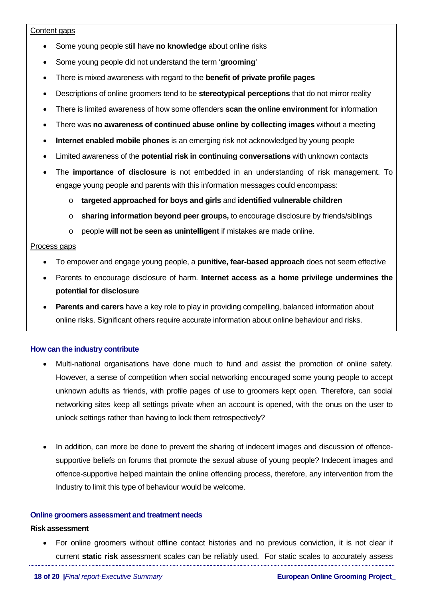# Content gaps

- Some young people still have **no knowledge** about online risks
- Some young people did not understand the term '**grooming**'
- There is mixed awareness with regard to the **benefit of private profile pages**
- Descriptions of online groomers tend to be **stereotypical perceptions** that do not mirror reality
- There is limited awareness of how some offenders **scan the online environment** for information
- There was **no awareness of continued abuse online by collecting images** without a meeting
- **Internet enabled mobile phones** is an emerging risk not acknowledged by young people
- Limited awareness of the **potential risk in continuing conversations** with unknown contacts
- The **importance of disclosure** is not embedded in an understanding of risk management. To engage young people and parents with this information messages could encompass:
	- o **targeted approached for boys and girls** and **identified vulnerable children**
	- o **sharing information beyond peer groups,** to encourage disclosure by friends/siblings
	- o people **will not be seen as unintelligent** if mistakes are made online.

# Process gaps

- To empower and engage young people, a **punitive, fear-based approach** does not seem effective
- Parents to encourage disclosure of harm. **Internet access as a home privilege undermines the potential for disclosure**
- **Parents and carers** have a key role to play in providing compelling, balanced information about online risks. Significant others require accurate information about online behaviour and risks.

# **How can the industry contribute**

- Multi-national organisations have done much to fund and assist the promotion of online safety. However, a sense of competition when social networking encouraged some young people to accept unknown adults as friends, with profile pages of use to groomers kept open. Therefore, can social networking sites keep all settings private when an account is opened, with the onus on the user to unlock settings rather than having to lock them retrospectively?
- In addition, can more be done to prevent the sharing of indecent images and discussion of offencesupportive beliefs on forums that promote the sexual abuse of young people? Indecent images and offence-supportive helped maintain the online offending process, therefore, any intervention from the Industry to limit this type of behaviour would be welcome.

## **Online groomers assessment and treatment needs**

## **Risk assessment**

• For online groomers without offline contact histories and no previous conviction, it is not clear if current **static risk** assessment scales can be reliably used. For static scales to accurately assess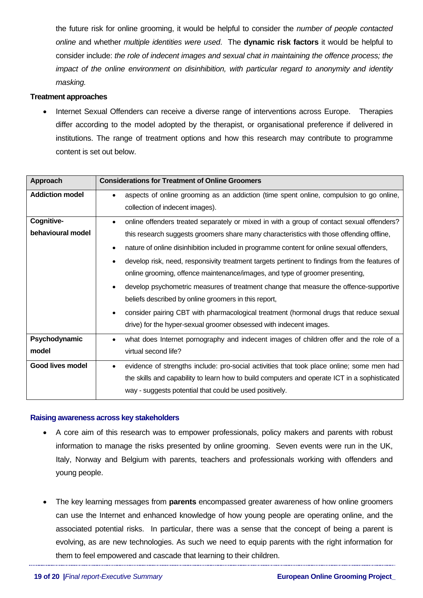the future risk for online grooming, it would be helpful to consider the *number of people contacted online* and whether *multiple identities were used*. The **dynamic risk factors** it would be helpful to consider include: *the role of indecent images and sexual chat in maintaining the offence process; the impact of the online environment on disinhibition, with particular regard to anonymity and identity masking.*

# **Treatment approaches**

• Internet Sexual Offenders can receive a diverse range of interventions across Europe. Therapies differ according to the model adopted by the therapist, or organisational preference if delivered in institutions. The range of treatment options and how this research may contribute to programme content is set out below.

| <b>Approach</b>        | <b>Considerations for Treatment of Online Groomers</b>                                                     |  |  |
|------------------------|------------------------------------------------------------------------------------------------------------|--|--|
| <b>Addiction model</b> | aspects of online grooming as an addiction (time spent online, compulsion to go online,                    |  |  |
|                        | collection of indecent images).                                                                            |  |  |
| Cognitive-             | online offenders treated separately or mixed in with a group of contact sexual offenders?                  |  |  |
| behavioural model      | this research suggests groomers share many characteristics with those offending offline,                   |  |  |
|                        | nature of online disinhibition included in programme content for online sexual offenders,                  |  |  |
|                        | develop risk, need, responsivity treatment targets pertinent to findings from the features of<br>$\bullet$ |  |  |
|                        | online grooming, offence maintenance/images, and type of groomer presenting,                               |  |  |
|                        | develop psychometric measures of treatment change that measure the offence-supportive                      |  |  |
|                        | beliefs described by online groomers in this report,                                                       |  |  |
|                        | consider pairing CBT with pharmacological treatment (hormonal drugs that reduce sexual                     |  |  |
|                        | drive) for the hyper-sexual groomer obsessed with indecent images.                                         |  |  |
| Psychodynamic          | what does Internet pornography and indecent images of children offer and the role of a<br>$\bullet$        |  |  |
| model                  | virtual second life?                                                                                       |  |  |
| Good lives model       | evidence of strengths include: pro-social activities that took place online; some men had<br>$\bullet$     |  |  |
|                        | the skills and capability to learn how to build computers and operate ICT in a sophisticated               |  |  |
|                        | way - suggests potential that could be used positively.                                                    |  |  |

## **Raising awareness across key stakeholders**

- A core aim of this research was to empower professionals, policy makers and parents with robust information to manage the risks presented by online grooming. Seven events were run in the UK, Italy, Norway and Belgium with parents, teachers and professionals working with offenders and young people.
- The key learning messages from **parents** encompassed greater awareness of how online groomers can use the Internet and enhanced knowledge of how young people are operating online, and the associated potential risks. In particular, there was a sense that the concept of being a parent is evolving, as are new technologies. As such we need to equip parents with the right information for them to feel empowered and cascade that learning to their children.